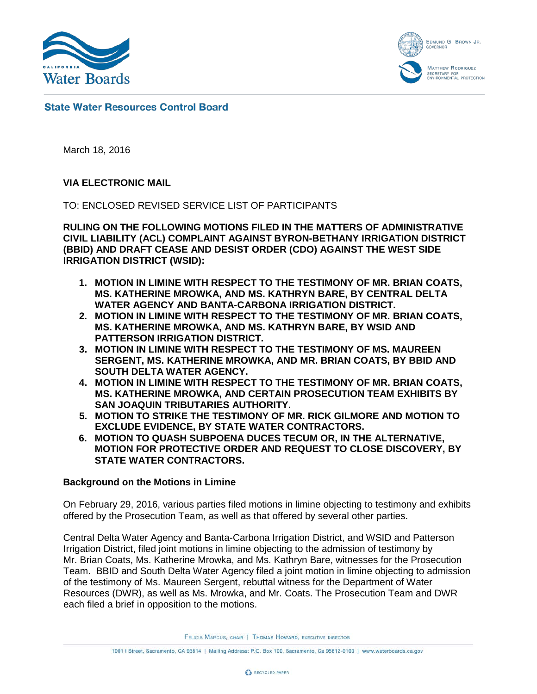

EDMUND G. BROWN JR. **GOVERNO MATTHEW RODRIQUEZ** ETARY FOR<br>IONMENTAL PROTECTION

## **State Water Resources Control Board**

March 18, 2016

## **VIA ELECTRONIC MAIL**

TO: ENCLOSED REVISED SERVICE LIST OF PARTICIPANTS

**RULING ON THE FOLLOWING MOTIONS FILED IN THE MATTERS OF ADMINISTRATIVE CIVIL LIABILITY (ACL) COMPLAINT AGAINST BYRON-BETHANY IRRIGATION DISTRICT (BBID) AND DRAFT CEASE AND DESIST ORDER (CDO) AGAINST THE WEST SIDE IRRIGATION DISTRICT (WSID):**

- **1. MOTION IN LIMINE WITH RESPECT TO THE TESTIMONY OF MR. BRIAN COATS, MS. KATHERINE MROWKA, AND MS. KATHRYN BARE, BY CENTRAL DELTA WATER AGENCY AND BANTA-CARBONA IRRIGATION DISTRICT.**
- **2. MOTION IN LIMINE WITH RESPECT TO THE TESTIMONY OF MR. BRIAN COATS, MS. KATHERINE MROWKA, AND MS. KATHRYN BARE, BY WSID AND PATTERSON IRRIGATION DISTRICT.**
- **3. MOTION IN LIMINE WITH RESPECT TO THE TESTIMONY OF MS. MAUREEN SERGENT, MS. KATHERINE MROWKA, AND MR. BRIAN COATS, BY BBID AND SOUTH DELTA WATER AGENCY.**
- **4. MOTION IN LIMINE WITH RESPECT TO THE TESTIMONY OF MR. BRIAN COATS, MS. KATHERINE MROWKA, AND CERTAIN PROSECUTION TEAM EXHIBITS BY SAN JOAQUIN TRIBUTARIES AUTHORITY.**
- **5. MOTION TO STRIKE THE TESTIMONY OF MR. RICK GILMORE AND MOTION TO EXCLUDE EVIDENCE, BY STATE WATER CONTRACTORS.**
- **6. MOTION TO QUASH SUBPOENA DUCES TECUM OR, IN THE ALTERNATIVE, MOTION FOR PROTECTIVE ORDER AND REQUEST TO CLOSE DISCOVERY, BY STATE WATER CONTRACTORS.**

#### **Background on the Motions in Limine**

On February 29, 2016, various parties filed motions in limine objecting to testimony and exhibits offered by the Prosecution Team, as well as that offered by several other parties.

Central Delta Water Agency and Banta-Carbona Irrigation District, and WSID and Patterson Irrigation District, filed joint motions in limine objecting to the admission of testimony by Mr. Brian Coats, Ms. Katherine Mrowka, and Ms. Kathryn Bare, witnesses for the Prosecution Team. BBID and South Delta Water Agency filed a joint motion in limine objecting to admission of the testimony of Ms. Maureen Sergent, rebuttal witness for the Department of Water Resources (DWR), as well as Ms. Mrowka, and Mr. Coats. The Prosecution Team and DWR each filed a brief in opposition to the motions.

FELICIA MARCUS, CHAIR | THOMAS HOWARD, EXECUTIVE DIRECTOR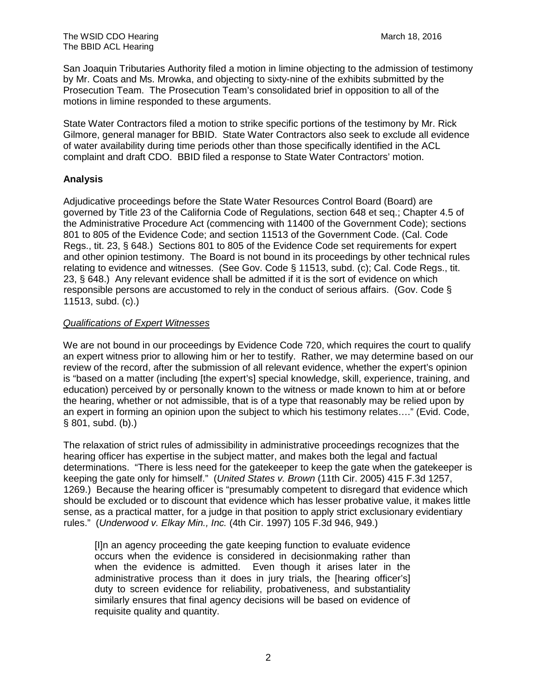San Joaquin Tributaries Authority filed a motion in limine objecting to the admission of testimony by Mr. Coats and Ms. Mrowka, and objecting to sixty-nine of the exhibits submitted by the Prosecution Team. The Prosecution Team's consolidated brief in opposition to all of the motions in limine responded to these arguments.

State Water Contractors filed a motion to strike specific portions of the testimony by Mr. Rick Gilmore, general manager for BBID. State Water Contractors also seek to exclude all evidence of water availability during time periods other than those specifically identified in the ACL complaint and draft CDO. BBID filed a response to State Water Contractors' motion.

## **Analysis**

Adjudicative proceedings before the State Water Resources Control Board (Board) are governed by Title 23 of the California Code of Regulations, section 648 et seq.; Chapter 4.5 of the Administrative Procedure Act (commencing with 11400 of the Government Code); sections 801 to 805 of the Evidence Code; and section 11513 of the Government Code. (Cal. Code Regs., tit. 23, § 648.) Sections 801 to 805 of the Evidence Code set requirements for expert and other opinion testimony. The Board is not bound in its proceedings by other technical rules relating to evidence and witnesses. (See Gov. Code § 11513, subd. (c); Cal. Code Regs., tit. 23, § 648.) Any relevant evidence shall be admitted if it is the sort of evidence on which responsible persons are accustomed to rely in the conduct of serious affairs. (Gov. Code § 11513, subd. (c).)

## *Qualifications of Expert Witnesses*

We are not bound in our proceedings by Evidence Code 720, which requires the court to qualify an expert witness prior to allowing him or her to testify. Rather, we may determine based on our review of the record, after the submission of all relevant evidence, whether the expert's opinion is "based on a matter (including [the expert's] special knowledge, skill, experience, training, and education) perceived by or personally known to the witness or made known to him at or before the hearing, whether or not admissible, that is of a type that reasonably may be relied upon by an expert in forming an opinion upon the subject to which his testimony relates…." (Evid. Code, § 801, subd. (b).)

The relaxation of strict rules of admissibility in administrative proceedings recognizes that the hearing officer has expertise in the subject matter, and makes both the legal and factual determinations. "There is less need for the gatekeeper to keep the gate when the gatekeeper is keeping the gate only for himself." (*United States v. Brown* (11th Cir. 2005) 415 F.3d 1257, 1269.) Because the hearing officer is "presumably competent to disregard that evidence which should be excluded or to discount that evidence which has lesser probative value, it makes little sense, as a practical matter, for a judge in that position to apply strict exclusionary evidentiary rules." (*Underwood v. Elkay Min., Inc.* (4th Cir. 1997) 105 F.3d 946, 949.)

[I]n an agency proceeding the gate keeping function to evaluate evidence occurs when the evidence is considered in decisionmaking rather than when the evidence is admitted. Even though it arises later in the administrative process than it does in jury trials, the [hearing officer's] duty to screen evidence for reliability, probativeness, and substantiality similarly ensures that final agency decisions will be based on evidence of requisite quality and quantity.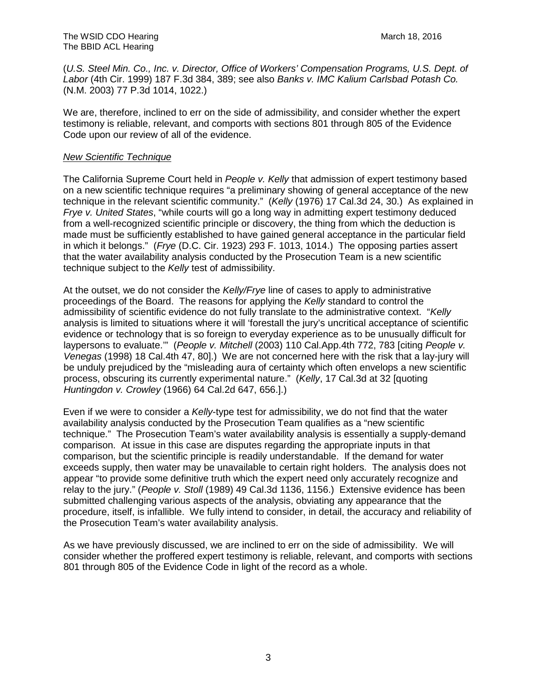(*U.S. Steel Min. Co., Inc. v. Director, Office of Workers' Compensation Programs, U.S. Dept. of Labor* (4th Cir. 1999) 187 F.3d 384, 389; see also *Banks v. IMC Kalium Carlsbad Potash Co.* (N.M. 2003) 77 P.3d 1014, 1022.)

We are, therefore, inclined to err on the side of admissibility, and consider whether the expert testimony is reliable, relevant, and comports with sections 801 through 805 of the Evidence Code upon our review of all of the evidence.

#### *New Scientific Technique*

The California Supreme Court held in *People v. Kelly* that admission of expert testimony based on a new scientific technique requires "a preliminary showing of general acceptance of the new technique in the relevant scientific community." (*Kelly* (1976) 17 Cal.3d 24, 30.) As explained in *Frye v. United States*, "while courts will go a long way in admitting expert testimony deduced from a well-recognized scientific principle or discovery, the thing from which the deduction is made must be sufficiently established to have gained general acceptance in the particular field in which it belongs." (*Frye* (D.C. Cir. 1923) 293 F. 1013, 1014.) The opposing parties assert that the water availability analysis conducted by the Prosecution Team is a new scientific technique subject to the *Kelly* test of admissibility.

At the outset, we do not consider the *Kelly/Frye* line of cases to apply to administrative proceedings of the Board. The reasons for applying the *Kelly* standard to control the admissibility of scientific evidence do not fully translate to the administrative context. "*Kelly* analysis is limited to situations where it will 'forestall the jury's uncritical acceptance of scientific evidence or technology that is so foreign to everyday experience as to be unusually difficult for laypersons to evaluate.'" (*People v. Mitchell* (2003) 110 Cal.App.4th 772, 783 [citing *People v. Venegas* (1998) 18 Cal.4th 47, 80].) We are not concerned here with the risk that a lay-jury will be unduly prejudiced by the "misleading aura of certainty which often envelops a new scientific process, obscuring its currently experimental nature." (*Kelly*, 17 Cal.3d at 32 [quoting *Huntingdon v. Crowley* (1966) 64 Cal.2d 647, 656.].)

Even if we were to consider a *Kelly*-type test for admissibility, we do not find that the water availability analysis conducted by the Prosecution Team qualifies as a "new scientific technique." The Prosecution Team's water availability analysis is essentially a supply-demand comparison. At issue in this case are disputes regarding the appropriate inputs in that comparison, but the scientific principle is readily understandable. If the demand for water exceeds supply, then water may be unavailable to certain right holders. The analysis does not appear "to provide some definitive truth which the expert need only accurately recognize and relay to the jury." (*People v. Stoll* (1989) 49 Cal.3d 1136, 1156.) Extensive evidence has been submitted challenging various aspects of the analysis, obviating any appearance that the procedure, itself, is infallible. We fully intend to consider, in detail, the accuracy and reliability of the Prosecution Team's water availability analysis.

As we have previously discussed, we are inclined to err on the side of admissibility. We will consider whether the proffered expert testimony is reliable, relevant, and comports with sections 801 through 805 of the Evidence Code in light of the record as a whole.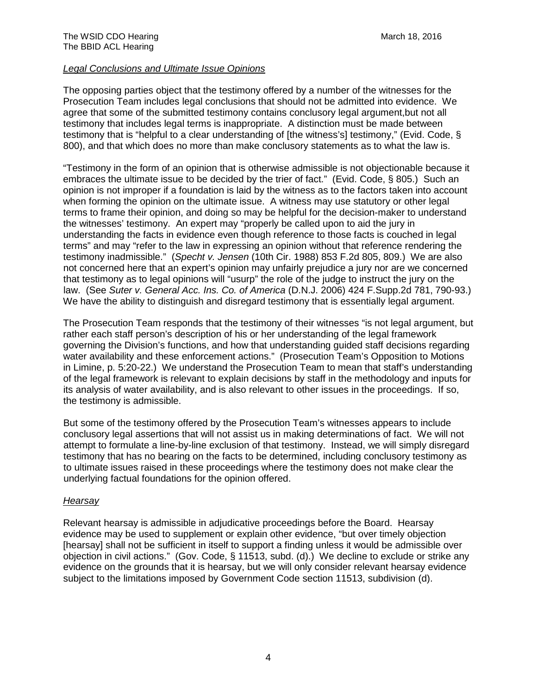#### *Legal Conclusions and Ultimate Issue Opinions*

The opposing parties object that the testimony offered by a number of the witnesses for the Prosecution Team includes legal conclusions that should not be admitted into evidence. We agree that some of the submitted testimony contains conclusory legal argument,but not all testimony that includes legal terms is inappropriate. A distinction must be made between testimony that is "helpful to a clear understanding of [the witness's] testimony," (Evid. Code, § 800), and that which does no more than make conclusory statements as to what the law is.

"Testimony in the form of an opinion that is otherwise admissible is not objectionable because it embraces the ultimate issue to be decided by the trier of fact." (Evid. Code, § 805.) Such an opinion is not improper if a foundation is laid by the witness as to the factors taken into account when forming the opinion on the ultimate issue. A witness may use statutory or other legal terms to frame their opinion, and doing so may be helpful for the decision-maker to understand the witnesses' testimony. An expert may "properly be called upon to aid the jury in understanding the facts in evidence even though reference to those facts is couched in legal terms" and may "refer to the law in expressing an opinion without that reference rendering the testimony inadmissible." (*Specht v. Jensen* (10th Cir. 1988) 853 F.2d 805, 809.) We are also not concerned here that an expert's opinion may unfairly prejudice a jury nor are we concerned that testimony as to legal opinions will "usurp" the role of the judge to instruct the jury on the law. (See *Suter v. General Acc. Ins. Co. of America* (D.N.J. 2006) 424 F.Supp.2d 781, 790-93.) We have the ability to distinguish and disregard testimony that is essentially legal argument.

The Prosecution Team responds that the testimony of their witnesses "is not legal argument, but rather each staff person's description of his or her understanding of the legal framework governing the Division's functions, and how that understanding guided staff decisions regarding water availability and these enforcement actions." (Prosecution Team's Opposition to Motions in Limine, p. 5:20-22.) We understand the Prosecution Team to mean that staff's understanding of the legal framework is relevant to explain decisions by staff in the methodology and inputs for its analysis of water availability, and is also relevant to other issues in the proceedings. If so, the testimony is admissible.

But some of the testimony offered by the Prosecution Team's witnesses appears to include conclusory legal assertions that will not assist us in making determinations of fact. We will not attempt to formulate a line-by-line exclusion of that testimony. Instead, we will simply disregard testimony that has no bearing on the facts to be determined, including conclusory testimony as to ultimate issues raised in these proceedings where the testimony does not make clear the underlying factual foundations for the opinion offered.

#### *Hearsay*

Relevant hearsay is admissible in adjudicative proceedings before the Board. Hearsay evidence may be used to supplement or explain other evidence, "but over timely objection [hearsay] shall not be sufficient in itself to support a finding unless it would be admissible over objection in civil actions." (Gov. Code, § 11513, subd. (d).) We decline to exclude or strike any evidence on the grounds that it is hearsay, but we will only consider relevant hearsay evidence subject to the limitations imposed by Government Code section 11513, subdivision (d).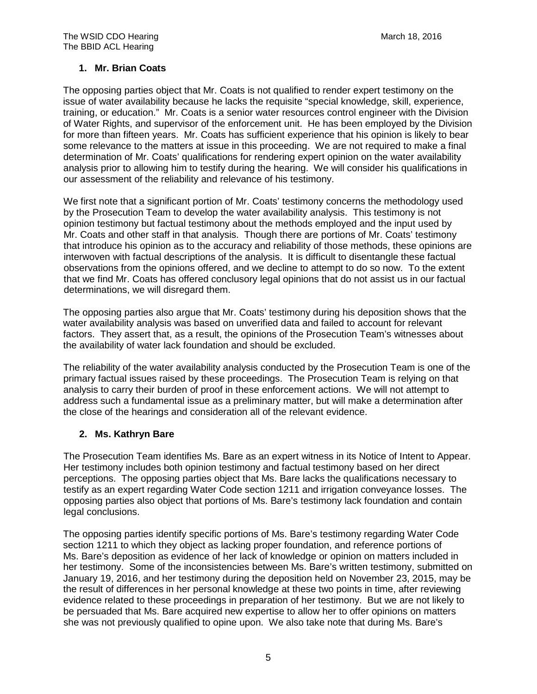## **1. Mr. Brian Coats**

The opposing parties object that Mr. Coats is not qualified to render expert testimony on the issue of water availability because he lacks the requisite "special knowledge, skill, experience, training, or education." Mr. Coats is a senior water resources control engineer with the Division of Water Rights, and supervisor of the enforcement unit. He has been employed by the Division for more than fifteen years. Mr. Coats has sufficient experience that his opinion is likely to bear some relevance to the matters at issue in this proceeding. We are not required to make a final determination of Mr. Coats' qualifications for rendering expert opinion on the water availability analysis prior to allowing him to testify during the hearing. We will consider his qualifications in our assessment of the reliability and relevance of his testimony.

We first note that a significant portion of Mr. Coats' testimony concerns the methodology used by the Prosecution Team to develop the water availability analysis. This testimony is not opinion testimony but factual testimony about the methods employed and the input used by Mr. Coats and other staff in that analysis. Though there are portions of Mr. Coats' testimony that introduce his opinion as to the accuracy and reliability of those methods, these opinions are interwoven with factual descriptions of the analysis. It is difficult to disentangle these factual observations from the opinions offered, and we decline to attempt to do so now. To the extent that we find Mr. Coats has offered conclusory legal opinions that do not assist us in our factual determinations, we will disregard them.

The opposing parties also argue that Mr. Coats' testimony during his deposition shows that the water availability analysis was based on unverified data and failed to account for relevant factors. They assert that, as a result, the opinions of the Prosecution Team's witnesses about the availability of water lack foundation and should be excluded.

The reliability of the water availability analysis conducted by the Prosecution Team is one of the primary factual issues raised by these proceedings. The Prosecution Team is relying on that analysis to carry their burden of proof in these enforcement actions. We will not attempt to address such a fundamental issue as a preliminary matter, but will make a determination after the close of the hearings and consideration all of the relevant evidence.

# **2. Ms. Kathryn Bare**

The Prosecution Team identifies Ms. Bare as an expert witness in its Notice of Intent to Appear. Her testimony includes both opinion testimony and factual testimony based on her direct perceptions. The opposing parties object that Ms. Bare lacks the qualifications necessary to testify as an expert regarding Water Code section 1211 and irrigation conveyance losses. The opposing parties also object that portions of Ms. Bare's testimony lack foundation and contain legal conclusions.

The opposing parties identify specific portions of Ms. Bare's testimony regarding Water Code section 1211 to which they object as lacking proper foundation, and reference portions of Ms. Bare's deposition as evidence of her lack of knowledge or opinion on matters included in her testimony. Some of the inconsistencies between Ms. Bare's written testimony, submitted on January 19, 2016, and her testimony during the deposition held on November 23, 2015, may be the result of differences in her personal knowledge at these two points in time, after reviewing evidence related to these proceedings in preparation of her testimony. But we are not likely to be persuaded that Ms. Bare acquired new expertise to allow her to offer opinions on matters she was not previously qualified to opine upon. We also take note that during Ms. Bare's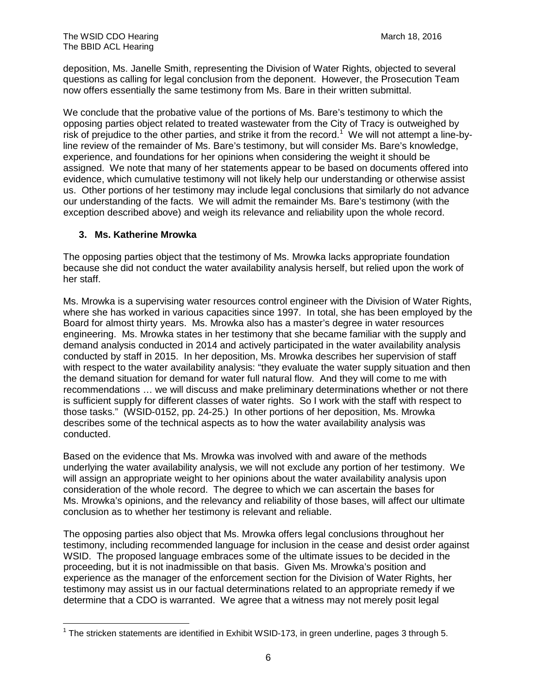deposition, Ms. Janelle Smith, representing the Division of Water Rights, objected to several questions as calling for legal conclusion from the deponent. However, the Prosecution Team now offers essentially the same testimony from Ms. Bare in their written submittal.

We conclude that the probative value of the portions of Ms. Bare's testimony to which the opposing parties object related to treated wastewater from the City of Tracy is outweighed by risk of prejudice to the other parties, and strike it from the record.<sup>[1](#page-5-0)</sup> We will not attempt a line-byline review of the remainder of Ms. Bare's testimony, but will consider Ms. Bare's knowledge, experience, and foundations for her opinions when considering the weight it should be assigned. We note that many of her statements appear to be based on documents offered into evidence, which cumulative testimony will not likely help our understanding or otherwise assist us. Other portions of her testimony may include legal conclusions that similarly do not advance our understanding of the facts. We will admit the remainder Ms. Bare's testimony (with the exception described above) and weigh its relevance and reliability upon the whole record.

#### **3. Ms. Katherine Mrowka**

The opposing parties object that the testimony of Ms. Mrowka lacks appropriate foundation because she did not conduct the water availability analysis herself, but relied upon the work of her staff.

Ms. Mrowka is a supervising water resources control engineer with the Division of Water Rights, where she has worked in various capacities since 1997. In total, she has been employed by the Board for almost thirty years. Ms. Mrowka also has a master's degree in water resources engineering. Ms. Mrowka states in her testimony that she became familiar with the supply and demand analysis conducted in 2014 and actively participated in the water availability analysis conducted by staff in 2015. In her deposition, Ms. Mrowka describes her supervision of staff with respect to the water availability analysis: "they evaluate the water supply situation and then the demand situation for demand for water full natural flow. And they will come to me with recommendations … we will discuss and make preliminary determinations whether or not there is sufficient supply for different classes of water rights. So I work with the staff with respect to those tasks." (WSID-0152, pp. 24-25.) In other portions of her deposition, Ms. Mrowka describes some of the technical aspects as to how the water availability analysis was conducted.

Based on the evidence that Ms. Mrowka was involved with and aware of the methods underlying the water availability analysis, we will not exclude any portion of her testimony. We will assign an appropriate weight to her opinions about the water availability analysis upon consideration of the whole record. The degree to which we can ascertain the bases for Ms. Mrowka's opinions, and the relevancy and reliability of those bases, will affect our ultimate conclusion as to whether her testimony is relevant and reliable.

The opposing parties also object that Ms. Mrowka offers legal conclusions throughout her testimony, including recommended language for inclusion in the cease and desist order against WSID. The proposed language embraces some of the ultimate issues to be decided in the proceeding, but it is not inadmissible on that basis. Given Ms. Mrowka's position and experience as the manager of the enforcement section for the Division of Water Rights, her testimony may assist us in our factual determinations related to an appropriate remedy if we determine that a CDO is warranted. We agree that a witness may not merely posit legal

<span id="page-5-0"></span> $1$  The stricken statements are identified in Exhibit WSID-173, in green underline, pages 3 through 5.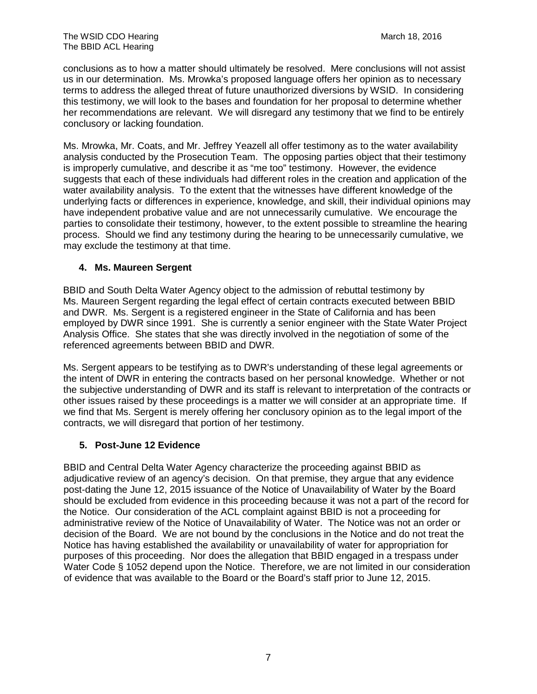conclusions as to how a matter should ultimately be resolved. Mere conclusions will not assist us in our determination. Ms. Mrowka's proposed language offers her opinion as to necessary terms to address the alleged threat of future unauthorized diversions by WSID. In considering this testimony, we will look to the bases and foundation for her proposal to determine whether her recommendations are relevant. We will disregard any testimony that we find to be entirely conclusory or lacking foundation.

Ms. Mrowka, Mr. Coats, and Mr. Jeffrey Yeazell all offer testimony as to the water availability analysis conducted by the Prosecution Team. The opposing parties object that their testimony is improperly cumulative, and describe it as "me too" testimony. However, the evidence suggests that each of these individuals had different roles in the creation and application of the water availability analysis. To the extent that the witnesses have different knowledge of the underlying facts or differences in experience, knowledge, and skill, their individual opinions may have independent probative value and are not unnecessarily cumulative. We encourage the parties to consolidate their testimony, however, to the extent possible to streamline the hearing process. Should we find any testimony during the hearing to be unnecessarily cumulative, we may exclude the testimony at that time.

## **4. Ms. Maureen Sergent**

BBID and South Delta Water Agency object to the admission of rebuttal testimony by Ms. Maureen Sergent regarding the legal effect of certain contracts executed between BBID and DWR. Ms. Sergent is a registered engineer in the State of California and has been employed by DWR since 1991. She is currently a senior engineer with the State Water Project Analysis Office. She states that she was directly involved in the negotiation of some of the referenced agreements between BBID and DWR.

Ms. Sergent appears to be testifying as to DWR's understanding of these legal agreements or the intent of DWR in entering the contracts based on her personal knowledge. Whether or not the subjective understanding of DWR and its staff is relevant to interpretation of the contracts or other issues raised by these proceedings is a matter we will consider at an appropriate time. If we find that Ms. Sergent is merely offering her conclusory opinion as to the legal import of the contracts, we will disregard that portion of her testimony.

## **5. Post-June 12 Evidence**

BBID and Central Delta Water Agency characterize the proceeding against BBID as adjudicative review of an agency's decision. On that premise, they argue that any evidence post-dating the June 12, 2015 issuance of the Notice of Unavailability of Water by the Board should be excluded from evidence in this proceeding because it was not a part of the record for the Notice. Our consideration of the ACL complaint against BBID is not a proceeding for administrative review of the Notice of Unavailability of Water. The Notice was not an order or decision of the Board. We are not bound by the conclusions in the Notice and do not treat the Notice has having established the availability or unavailability of water for appropriation for purposes of this proceeding. Nor does the allegation that BBID engaged in a trespass under Water Code § 1052 depend upon the Notice. Therefore, we are not limited in our consideration of evidence that was available to the Board or the Board's staff prior to June 12, 2015.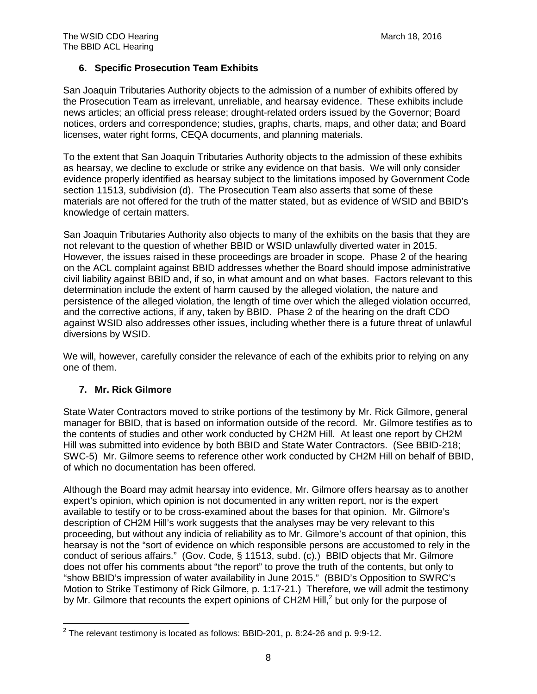## **6. Specific Prosecution Team Exhibits**

San Joaquin Tributaries Authority objects to the admission of a number of exhibits offered by the Prosecution Team as irrelevant, unreliable, and hearsay evidence. These exhibits include news articles; an official press release; drought-related orders issued by the Governor; Board notices, orders and correspondence; studies, graphs, charts, maps, and other data; and Board licenses, water right forms, CEQA documents, and planning materials.

To the extent that San Joaquin Tributaries Authority objects to the admission of these exhibits as hearsay, we decline to exclude or strike any evidence on that basis. We will only consider evidence properly identified as hearsay subject to the limitations imposed by Government Code section 11513, subdivision (d). The Prosecution Team also asserts that some of these materials are not offered for the truth of the matter stated, but as evidence of WSID and BBID's knowledge of certain matters.

San Joaquin Tributaries Authority also objects to many of the exhibits on the basis that they are not relevant to the question of whether BBID or WSID unlawfully diverted water in 2015. However, the issues raised in these proceedings are broader in scope. Phase 2 of the hearing on the ACL complaint against BBID addresses whether the Board should impose administrative civil liability against BBID and, if so, in what amount and on what bases. Factors relevant to this determination include the extent of harm caused by the alleged violation, the nature and persistence of the alleged violation, the length of time over which the alleged violation occurred, and the corrective actions, if any, taken by BBID. Phase 2 of the hearing on the draft CDO against WSID also addresses other issues, including whether there is a future threat of unlawful diversions by WSID.

We will, however, carefully consider the relevance of each of the exhibits prior to relying on any one of them.

## **7. Mr. Rick Gilmore**

State Water Contractors moved to strike portions of the testimony by Mr. Rick Gilmore, general manager for BBID, that is based on information outside of the record. Mr. Gilmore testifies as to the contents of studies and other work conducted by CH2M Hill. At least one report by CH2M Hill was submitted into evidence by both BBID and State Water Contractors. (See BBID-218; SWC-5) Mr. Gilmore seems to reference other work conducted by CH2M Hill on behalf of BBID, of which no documentation has been offered.

Although the Board may admit hearsay into evidence, Mr. Gilmore offers hearsay as to another expert's opinion, which opinion is not documented in any written report, nor is the expert available to testify or to be cross-examined about the bases for that opinion. Mr. Gilmore's description of CH2M Hill's work suggests that the analyses may be very relevant to this proceeding, but without any indicia of reliability as to Mr. Gilmore's account of that opinion, this hearsay is not the "sort of evidence on which responsible persons are accustomed to rely in the conduct of serious affairs." (Gov. Code, § 11513, subd. (c).) BBID objects that Mr. Gilmore does not offer his comments about "the report" to prove the truth of the contents, but only to "show BBID's impression of water availability in June 2015." (BBID's Opposition to SWRC's Motion to Strike Testimony of Rick Gilmore, p. 1:17-21.) Therefore, we will admit the testimony by Mr. Gilmore that recounts the expert opinions of CH[2](#page-7-0)M Hill,<sup>2</sup> but only for the purpose of

<span id="page-7-0"></span> $2$  The relevant testimony is located as follows: BBID-201, p. 8:24-26 and p. 9:9-12.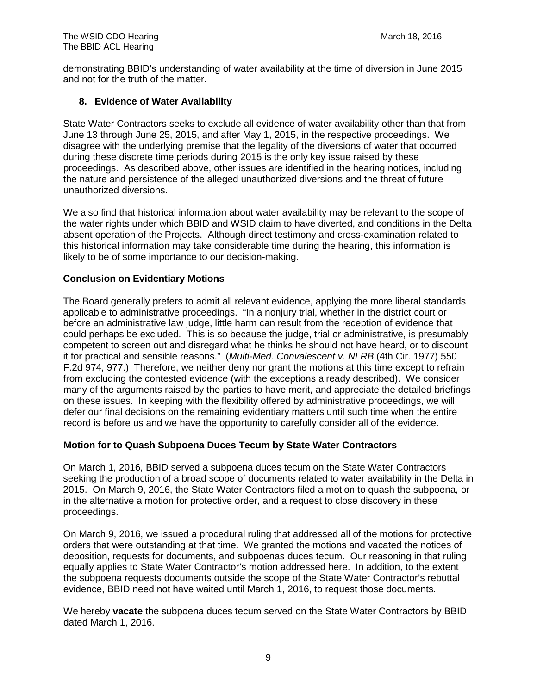demonstrating BBID's understanding of water availability at the time of diversion in June 2015 and not for the truth of the matter.

## **8. Evidence of Water Availability**

State Water Contractors seeks to exclude all evidence of water availability other than that from June 13 through June 25, 2015, and after May 1, 2015, in the respective proceedings. We disagree with the underlying premise that the legality of the diversions of water that occurred during these discrete time periods during 2015 is the only key issue raised by these proceedings. As described above, other issues are identified in the hearing notices, including the nature and persistence of the alleged unauthorized diversions and the threat of future unauthorized diversions.

We also find that historical information about water availability may be relevant to the scope of the water rights under which BBID and WSID claim to have diverted, and conditions in the Delta absent operation of the Projects. Although direct testimony and cross-examination related to this historical information may take considerable time during the hearing, this information is likely to be of some importance to our decision-making.

## **Conclusion on Evidentiary Motions**

The Board generally prefers to admit all relevant evidence, applying the more liberal standards applicable to administrative proceedings. "In a nonjury trial, whether in the district court or before an administrative law judge, little harm can result from the reception of evidence that could perhaps be excluded. This is so because the judge, trial or administrative, is presumably competent to screen out and disregard what he thinks he should not have heard, or to discount it for practical and sensible reasons." (*Multi-Med. Convalescent v. NLRB* (4th Cir. 1977) 550 F.2d 974, 977.) Therefore, we neither deny nor grant the motions at this time except to refrain from excluding the contested evidence (with the exceptions already described). We consider many of the arguments raised by the parties to have merit, and appreciate the detailed briefings on these issues. In keeping with the flexibility offered by administrative proceedings, we will defer our final decisions on the remaining evidentiary matters until such time when the entire record is before us and we have the opportunity to carefully consider all of the evidence.

## **Motion for to Quash Subpoena Duces Tecum by State Water Contractors**

On March 1, 2016, BBID served a subpoena duces tecum on the State Water Contractors seeking the production of a broad scope of documents related to water availability in the Delta in 2015. On March 9, 2016, the State Water Contractors filed a motion to quash the subpoena, or in the alternative a motion for protective order, and a request to close discovery in these proceedings.

On March 9, 2016, we issued a procedural ruling that addressed all of the motions for protective orders that were outstanding at that time. We granted the motions and vacated the notices of deposition, requests for documents, and subpoenas duces tecum. Our reasoning in that ruling equally applies to State Water Contractor's motion addressed here. In addition, to the extent the subpoena requests documents outside the scope of the State Water Contractor's rebuttal evidence, BBID need not have waited until March 1, 2016, to request those documents.

We hereby **vacate** the subpoena duces tecum served on the State Water Contractors by BBID dated March 1, 2016.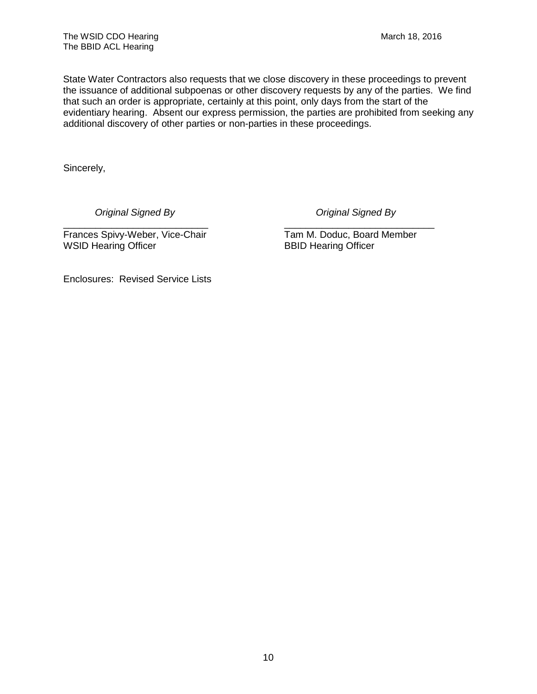State Water Contractors also requests that we close discovery in these proceedings to prevent the issuance of additional subpoenas or other discovery requests by any of the parties. We find that such an order is appropriate, certainly at this point, only days from the start of the evidentiary hearing. Absent our express permission, the parties are prohibited from seeking any additional discovery of other parties or non-parties in these proceedings.

Sincerely,

*Original Signed By Original Signed By*

\_\_\_\_\_\_\_\_\_\_\_\_\_\_\_\_\_\_\_\_\_\_\_\_\_\_\_ \_\_\_\_\_\_\_\_\_\_\_\_\_\_\_\_\_\_\_\_\_\_\_\_\_\_\_\_ Frances Spivy-Weber, Vice-Chair Tam M. Doduc, Board Member<br>
WSID Hearing Officer SBID Hearing Officer WSID Hearing Officer

Enclosures: Revised Service Lists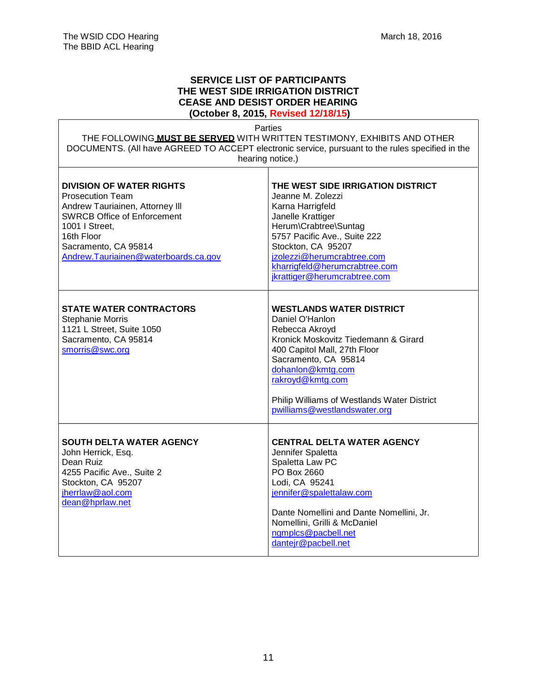#### **SERVICE LIST OF PARTICIPANTS THE WEST SIDE IRRIGATION DISTRICT CEASE AND DESIST ORDER HEARING (October 8, 2015, Revised 12/18/15)**

Parties

THE FOLLOWING **MUST BE SERVED** WITH WRITTEN TESTIMONY, EXHIBITS AND OTHER DOCUMENTS. (All have AGREED TO ACCEPT electronic service, pursuant to the rules specified in the hearing notice.)

 $\mathbf{r}$ 

| <b>DIVISION OF WATER RIGHTS</b><br><b>Prosecution Team</b><br>Andrew Tauriainen, Attorney III<br><b>SWRCB Office of Enforcement</b><br>1001   Street,<br>16th Floor<br>Sacramento, CA 95814<br>Andrew.Tauriainen@waterboards.ca.gov | THE WEST SIDE IRRIGATION DISTRICT<br>Jeanne M. Zolezzi<br>Karna Harrigfeld<br>Janelle Krattiger<br>Herum\Crabtree\Suntag<br>5757 Pacific Ave., Suite 222<br>Stockton, CA 95207<br>jzolezzi@herumcrabtree.com<br>kharrigfeld@herumcrabtree.com<br>jkrattiger@herumcrabtree.com                |
|-------------------------------------------------------------------------------------------------------------------------------------------------------------------------------------------------------------------------------------|----------------------------------------------------------------------------------------------------------------------------------------------------------------------------------------------------------------------------------------------------------------------------------------------|
| <b>STATE WATER CONTRACTORS</b><br>Stephanie Morris<br>1121 L Street, Suite 1050<br>Sacramento, CA 95814<br>smorris@swc.org                                                                                                          | <b>WESTLANDS WATER DISTRICT</b><br>Daniel O'Hanlon<br>Rebecca Akroyd<br>Kronick Moskovitz Tiedemann & Girard<br>400 Capitol Mall, 27th Floor<br>Sacramento, CA 95814<br>dohanlon@kmtg.com<br>rakroyd@kmtg.com<br>Philip Williams of Westlands Water District<br>pwilliams@westlandswater.org |
| <b>SOUTH DELTA WATER AGENCY</b><br>John Herrick, Esq.<br>Dean Ruiz<br>4255 Pacific Ave., Suite 2<br>Stockton, CA 95207<br>jherrlaw@aol.com<br>dean@hprlaw.net                                                                       | <b>CENTRAL DELTA WATER AGENCY</b><br>Jennifer Spaletta<br>Spaletta Law PC<br>PO Box 2660<br>Lodi, CA 95241<br>jennifer@spalettalaw.com<br>Dante Nomellini and Dante Nomellini, Jr.<br>Nomellini, Grilli & McDaniel<br>ngmplcs@pacbell.net<br>dantejr@pacbell.net                             |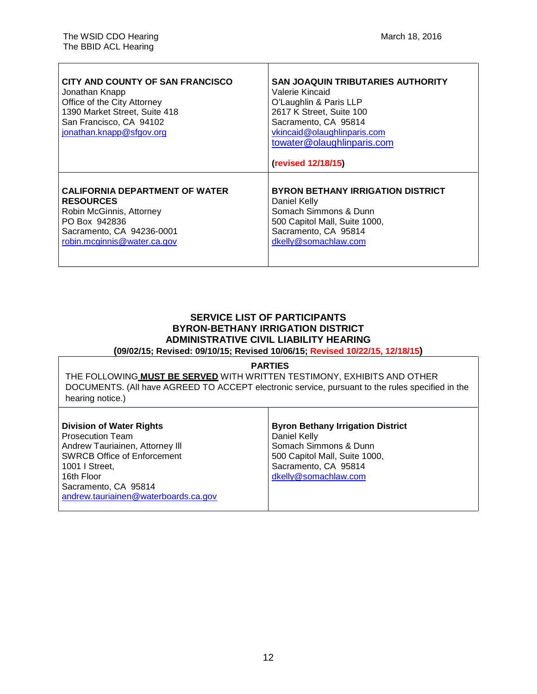| CITY AND COUNTY OF SAN FRANCISCO<br>Jonathan Knapp<br>Office of the City Attorney<br>1390 Market Street, Suite 418<br>San Francisco, CA 94102<br>jonathan.knapp@sfgov.org | <b>SAN JOAQUIN TRIBUTARIES AUTHORITY</b><br>Valerie Kincaid<br>O'Laughlin & Paris LLP<br>2617 K Street, Suite 100<br>Sacramento, CA 95814<br>vkincaid@olaughlinparis.com<br>towater@olaughlinparis.com<br>(revised 12/18/15) |
|---------------------------------------------------------------------------------------------------------------------------------------------------------------------------|------------------------------------------------------------------------------------------------------------------------------------------------------------------------------------------------------------------------------|
| <b>CALIFORNIA DEPARTMENT OF WATER</b>                                                                                                                                     | <b>BYRON BETHANY IRRIGATION DISTRICT</b>                                                                                                                                                                                     |
| <b>RESOURCES</b>                                                                                                                                                          | Daniel Kelly                                                                                                                                                                                                                 |
| Robin McGinnis, Attorney                                                                                                                                                  | Somach Simmons & Dunn                                                                                                                                                                                                        |
| PO Box 942836                                                                                                                                                             | 500 Capitol Mall, Suite 1000,                                                                                                                                                                                                |
| Sacramento, CA 94236-0001                                                                                                                                                 | Sacramento, CA 95814                                                                                                                                                                                                         |
| robin.mcginnis@water.ca.gov                                                                                                                                               | dkelly@somachlaw.com                                                                                                                                                                                                         |

# **SERVICE LIST OF PARTICIPANTS BYRON-BETHANY IRRIGATION DISTRICT ADMINISTRATIVE CIVIL LIABILITY HEARING**

**(09/02/15; Revised: 09/10/15; Revised 10/06/15; Revised 10/22/15, 12/18/15)**

#### **PARTIES**

THE FOLLOWING **MUST BE SERVED** WITH WRITTEN TESTIMONY, EXHIBITS AND OTHER DOCUMENTS. (All have AGREED TO ACCEPT electronic service, pursuant to the rules specified in the hearing notice.)

Τ

| <b>Division of Water Rights</b>      | <b>Byron Bethany Irrigation District</b> |
|--------------------------------------|------------------------------------------|
| Prosecution Team                     | Daniel Kelly                             |
| Andrew Tauriainen, Attorney III      | Somach Simmons & Dunn                    |
| <b>SWRCB Office of Enforcement</b>   | 500 Capitol Mall, Suite 1000,            |
| l 1001 I Street.                     | Sacramento, CA 95814                     |
| l 16th Floor                         | dkelly@somachlaw.com                     |
| Sacramento, CA 95814                 |                                          |
| andrew.tauriainen@waterboards.ca.gov |                                          |
|                                      |                                          |